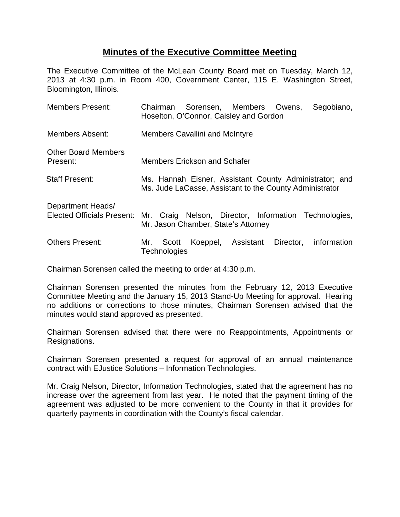## **Minutes of the Executive Committee Meeting**

The Executive Committee of the McLean County Board met on Tuesday, March 12, 2013 at 4:30 p.m. in Room 400, Government Center, 115 E. Washington Street, Bloomington, Illinois.

| <b>Members Present:</b>                                | Chairman Sorensen, Members Owens,<br>Segobiano,<br>Hoselton, O'Connor, Caisley and Gordon                         |
|--------------------------------------------------------|-------------------------------------------------------------------------------------------------------------------|
| <b>Members Absent:</b>                                 | <b>Members Cavallini and McIntyre</b>                                                                             |
| <b>Other Board Members</b><br>Present:                 | <b>Members Erickson and Schafer</b>                                                                               |
| <b>Staff Present:</b>                                  | Ms. Hannah Eisner, Assistant County Administrator; and<br>Ms. Jude LaCasse, Assistant to the County Administrator |
| Department Heads/<br><b>Elected Officials Present:</b> | Mr. Craig Nelson, Director, Information Technologies,<br>Mr. Jason Chamber, State's Attorney                      |
| <b>Others Present:</b>                                 | Koeppel, Assistant Director,<br>information<br>Mr.<br>Scott<br>Technologies                                       |

Chairman Sorensen called the meeting to order at 4:30 p.m.

Chairman Sorensen presented the minutes from the February 12, 2013 Executive Committee Meeting and the January 15, 2013 Stand-Up Meeting for approval. Hearing no additions or corrections to those minutes, Chairman Sorensen advised that the minutes would stand approved as presented.

Chairman Sorensen advised that there were no Reappointments, Appointments or Resignations.

Chairman Sorensen presented a request for approval of an annual maintenance contract with EJustice Solutions – Information Technologies.

Mr. Craig Nelson, Director, Information Technologies, stated that the agreement has no increase over the agreement from last year. He noted that the payment timing of the agreement was adjusted to be more convenient to the County in that it provides for quarterly payments in coordination with the County's fiscal calendar.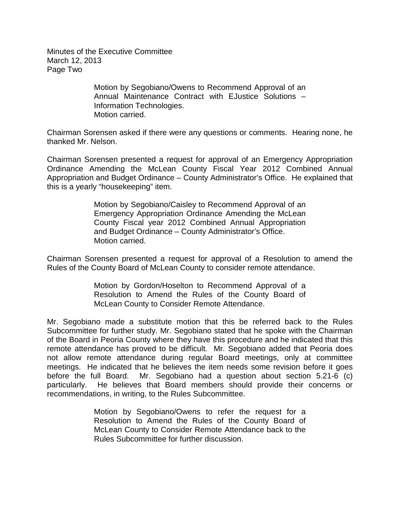Minutes of the Executive Committee March 12, 2013 Page Two

> Motion by Segobiano/Owens to Recommend Approval of an Annual Maintenance Contract with EJustice Solutions – Information Technologies. Motion carried.

Chairman Sorensen asked if there were any questions or comments. Hearing none, he thanked Mr. Nelson.

Chairman Sorensen presented a request for approval of an Emergency Appropriation Ordinance Amending the McLean County Fiscal Year 2012 Combined Annual Appropriation and Budget Ordinance – County Administrator's Office. He explained that this is a yearly "housekeeping" item.

> Motion by Segobiano/Caisley to Recommend Approval of an Emergency Appropriation Ordinance Amending the McLean County Fiscal year 2012 Combined Annual Appropriation and Budget Ordinance – County Administrator's Office. Motion carried.

Chairman Sorensen presented a request for approval of a Resolution to amend the Rules of the County Board of McLean County to consider remote attendance.

> Motion by Gordon/Hoselton to Recommend Approval of a Resolution to Amend the Rules of the County Board of McLean County to Consider Remote Attendance.

Mr. Segobiano made a substitute motion that this be referred back to the Rules Subcommittee for further study. Mr. Segobiano stated that he spoke with the Chairman of the Board in Peoria County where they have this procedure and he indicated that this remote attendance has proved to be difficult. Mr. Segobiano added that Peoria does not allow remote attendance during regular Board meetings, only at committee meetings. He indicated that he believes the item needs some revision before it goes before the full Board. Mr. Segobiano had a question about section 5.21-6 (c) particularly. He believes that Board members should provide their concerns or recommendations, in writing, to the Rules Subcommittee.

> Motion by Segobiano/Owens to refer the request for a Resolution to Amend the Rules of the County Board of McLean County to Consider Remote Attendance back to the Rules Subcommittee for further discussion.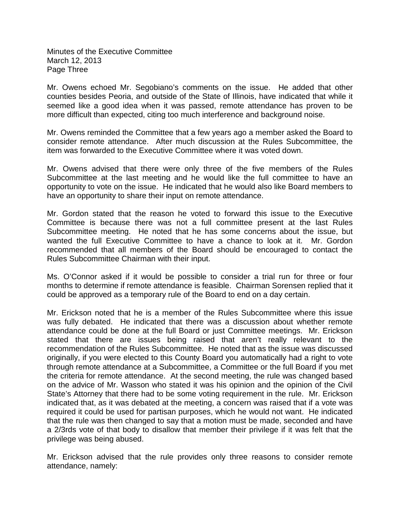Minutes of the Executive Committee March 12, 2013 Page Three

Mr. Owens echoed Mr. Segobiano's comments on the issue. He added that other counties besides Peoria, and outside of the State of Illinois, have indicated that while it seemed like a good idea when it was passed, remote attendance has proven to be more difficult than expected, citing too much interference and background noise.

Mr. Owens reminded the Committee that a few years ago a member asked the Board to consider remote attendance. After much discussion at the Rules Subcommittee, the item was forwarded to the Executive Committee where it was voted down.

Mr. Owens advised that there were only three of the five members of the Rules Subcommittee at the last meeting and he would like the full committee to have an opportunity to vote on the issue. He indicated that he would also like Board members to have an opportunity to share their input on remote attendance.

Mr. Gordon stated that the reason he voted to forward this issue to the Executive Committee is because there was not a full committee present at the last Rules Subcommittee meeting. He noted that he has some concerns about the issue, but wanted the full Executive Committee to have a chance to look at it. Mr. Gordon recommended that all members of the Board should be encouraged to contact the Rules Subcommittee Chairman with their input.

Ms. O'Connor asked if it would be possible to consider a trial run for three or four months to determine if remote attendance is feasible. Chairman Sorensen replied that it could be approved as a temporary rule of the Board to end on a day certain.

Mr. Erickson noted that he is a member of the Rules Subcommittee where this issue was fully debated. He indicated that there was a discussion about whether remote attendance could be done at the full Board or just Committee meetings. Mr. Erickson stated that there are issues being raised that aren't really relevant to the recommendation of the Rules Subcommittee. He noted that as the issue was discussed originally, if you were elected to this County Board you automatically had a right to vote through remote attendance at a Subcommittee, a Committee or the full Board if you met the criteria for remote attendance. At the second meeting, the rule was changed based on the advice of Mr. Wasson who stated it was his opinion and the opinion of the Civil State's Attorney that there had to be some voting requirement in the rule. Mr. Erickson indicated that, as it was debated at the meeting, a concern was raised that if a vote was required it could be used for partisan purposes, which he would not want. He indicated that the rule was then changed to say that a motion must be made, seconded and have a 2/3rds vote of that body to disallow that member their privilege if it was felt that the privilege was being abused.

Mr. Erickson advised that the rule provides only three reasons to consider remote attendance, namely: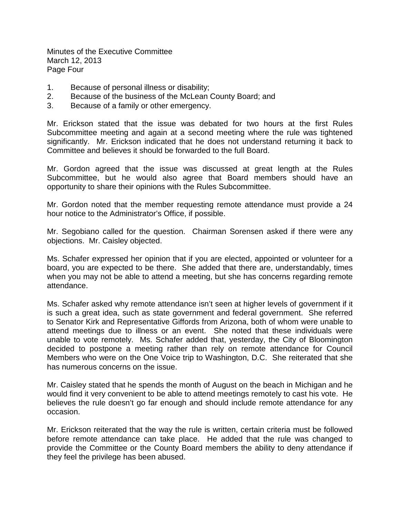Minutes of the Executive Committee March 12, 2013 Page Four

- 1. Because of personal illness or disability;
- 2. Because of the business of the McLean County Board; and
- 3. Because of a family or other emergency.

Mr. Erickson stated that the issue was debated for two hours at the first Rules Subcommittee meeting and again at a second meeting where the rule was tightened significantly. Mr. Erickson indicated that he does not understand returning it back to Committee and believes it should be forwarded to the full Board.

Mr. Gordon agreed that the issue was discussed at great length at the Rules Subcommittee, but he would also agree that Board members should have an opportunity to share their opinions with the Rules Subcommittee.

Mr. Gordon noted that the member requesting remote attendance must provide a 24 hour notice to the Administrator's Office, if possible.

Mr. Segobiano called for the question. Chairman Sorensen asked if there were any objections. Mr. Caisley objected.

Ms. Schafer expressed her opinion that if you are elected, appointed or volunteer for a board, you are expected to be there. She added that there are, understandably, times when you may not be able to attend a meeting, but she has concerns regarding remote attendance.

Ms. Schafer asked why remote attendance isn't seen at higher levels of government if it is such a great idea, such as state government and federal government. She referred to Senator Kirk and Representative Giffords from Arizona, both of whom were unable to attend meetings due to illness or an event. She noted that these individuals were unable to vote remotely. Ms. Schafer added that, yesterday, the City of Bloomington decided to postpone a meeting rather than rely on remote attendance for Council Members who were on the One Voice trip to Washington, D.C. She reiterated that she has numerous concerns on the issue.

Mr. Caisley stated that he spends the month of August on the beach in Michigan and he would find it very convenient to be able to attend meetings remotely to cast his vote. He believes the rule doesn't go far enough and should include remote attendance for any occasion.

Mr. Erickson reiterated that the way the rule is written, certain criteria must be followed before remote attendance can take place. He added that the rule was changed to provide the Committee or the County Board members the ability to deny attendance if they feel the privilege has been abused.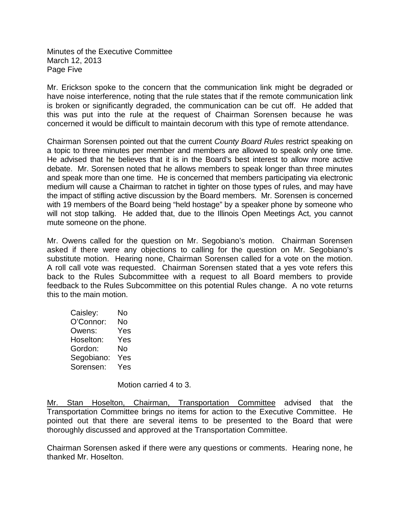Minutes of the Executive Committee March 12, 2013 Page Five

Mr. Erickson spoke to the concern that the communication link might be degraded or have noise interference, noting that the rule states that if the remote communication link is broken or significantly degraded, the communication can be cut off. He added that this was put into the rule at the request of Chairman Sorensen because he was concerned it would be difficult to maintain decorum with this type of remote attendance.

Chairman Sorensen pointed out that the current *County Board Rules* restrict speaking on a topic to three minutes per member and members are allowed to speak only one time. He advised that he believes that it is in the Board's best interest to allow more active debate. Mr. Sorensen noted that he allows members to speak longer than three minutes and speak more than one time. He is concerned that members participating via electronic medium will cause a Chairman to ratchet in tighter on those types of rules, and may have the impact of stifling active discussion by the Board members. Mr. Sorensen is concerned with 19 members of the Board being "held hostage" by a speaker phone by someone who will not stop talking. He added that, due to the Illinois Open Meetings Act, you cannot mute someone on the phone.

Mr. Owens called for the question on Mr. Segobiano's motion. Chairman Sorensen asked if there were any objections to calling for the question on Mr. Segobiano's substitute motion. Hearing none, Chairman Sorensen called for a vote on the motion. A roll call vote was requested. Chairman Sorensen stated that a yes vote refers this back to the Rules Subcommittee with a request to all Board members to provide feedback to the Rules Subcommittee on this potential Rules change. A no vote returns this to the main motion.

| Caisley:   | No  |
|------------|-----|
| O'Connor:  | No  |
| Owens:     | Yes |
| Hoselton:  | Yes |
| Gordon:    | No  |
| Segobiano: | Yes |
| Sorensen:  | Yes |

Motion carried 4 to 3.

Mr. Stan Hoselton, Chairman, Transportation Committee advised that the Transportation Committee brings no items for action to the Executive Committee. He pointed out that there are several items to be presented to the Board that were thoroughly discussed and approved at the Transportation Committee.

Chairman Sorensen asked if there were any questions or comments. Hearing none, he thanked Mr. Hoselton.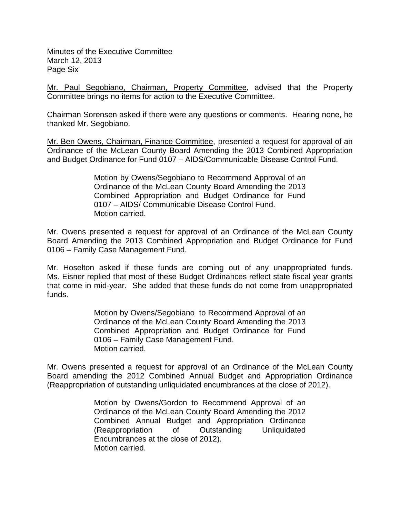Minutes of the Executive Committee March 12, 2013 Page Six

Mr. Paul Segobiano, Chairman, Property Committee, advised that the Property Committee brings no items for action to the Executive Committee.

Chairman Sorensen asked if there were any questions or comments. Hearing none, he thanked Mr. Segobiano.

Mr. Ben Owens, Chairman, Finance Committee, presented a request for approval of an Ordinance of the McLean County Board Amending the 2013 Combined Appropriation and Budget Ordinance for Fund 0107 – AIDS/Communicable Disease Control Fund.

> Motion by Owens/Segobiano to Recommend Approval of an Ordinance of the McLean County Board Amending the 2013 Combined Appropriation and Budget Ordinance for Fund 0107 – AIDS/ Communicable Disease Control Fund. Motion carried.

Mr. Owens presented a request for approval of an Ordinance of the McLean County Board Amending the 2013 Combined Appropriation and Budget Ordinance for Fund 0106 – Family Case Management Fund.

Mr. Hoselton asked if these funds are coming out of any unappropriated funds. Ms. Eisner replied that most of these Budget Ordinances reflect state fiscal year grants that come in mid-year. She added that these funds do not come from unappropriated funds.

> Motion by Owens/Segobiano to Recommend Approval of an Ordinance of the McLean County Board Amending the 2013 Combined Appropriation and Budget Ordinance for Fund 0106 – Family Case Management Fund. Motion carried.

Mr. Owens presented a request for approval of an Ordinance of the McLean County Board amending the 2012 Combined Annual Budget and Appropriation Ordinance (Reappropriation of outstanding unliquidated encumbrances at the close of 2012).

> Motion by Owens/Gordon to Recommend Approval of an Ordinance of the McLean County Board Amending the 2012 Combined Annual Budget and Appropriation Ordinance (Reappropriation of Outstanding Unliquidated Encumbrances at the close of 2012). Motion carried.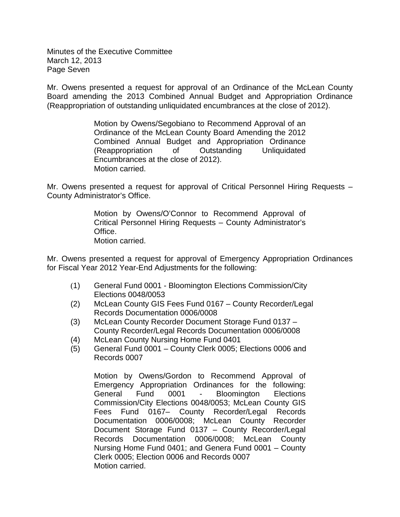Minutes of the Executive Committee March 12, 2013 Page Seven

Mr. Owens presented a request for approval of an Ordinance of the McLean County Board amending the 2013 Combined Annual Budget and Appropriation Ordinance (Reappropriation of outstanding unliquidated encumbrances at the close of 2012).

> Motion by Owens/Segobiano to Recommend Approval of an Ordinance of the McLean County Board Amending the 2012 Combined Annual Budget and Appropriation Ordinance (Reappropriation of Outstanding Unliquidated Encumbrances at the close of 2012). Motion carried.

Mr. Owens presented a request for approval of Critical Personnel Hiring Requests – County Administrator's Office.

> Motion by Owens/O'Connor to Recommend Approval of Critical Personnel Hiring Requests – County Administrator's Office. Motion carried.

Mr. Owens presented a request for approval of Emergency Appropriation Ordinances for Fiscal Year 2012 Year-End Adjustments for the following:

- (1) General Fund 0001 Bloomington Elections Commission/City Elections 0048/0053
- (2) McLean County GIS Fees Fund 0167 County Recorder/Legal Records Documentation 0006/0008
- (3) McLean County Recorder Document Storage Fund 0137 County Recorder/Legal Records Documentation 0006/0008
- (4) McLean County Nursing Home Fund 0401
- (5) General Fund 0001 County Clerk 0005; Elections 0006 and Records 0007

Motion by Owens/Gordon to Recommend Approval of Emergency Appropriation Ordinances for the following: General Fund 0001 - Bloomington Elections Commission/City Elections 0048/0053; McLean County GIS Fees Fund 0167– County Recorder/Legal Records Documentation 0006/0008; McLean County Recorder Document Storage Fund 0137 – County Recorder/Legal Records Documentation 0006/0008; McLean County Nursing Home Fund 0401; and Genera Fund 0001 – County Clerk 0005; Election 0006 and Records 0007 Motion carried.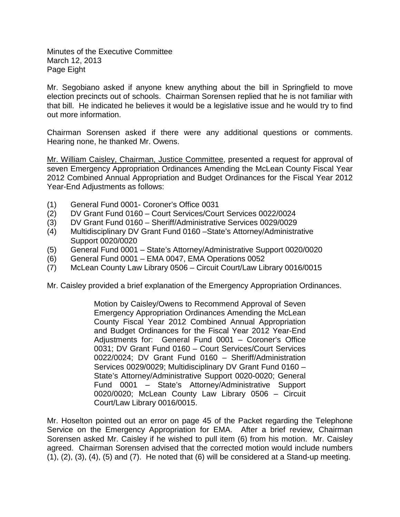Minutes of the Executive Committee March 12, 2013 Page Eight

Mr. Segobiano asked if anyone knew anything about the bill in Springfield to move election precincts out of schools. Chairman Sorensen replied that he is not familiar with that bill. He indicated he believes it would be a legislative issue and he would try to find out more information.

Chairman Sorensen asked if there were any additional questions or comments. Hearing none, he thanked Mr. Owens.

Mr. William Caisley, Chairman, Justice Committee, presented a request for approval of seven Emergency Appropriation Ordinances Amending the McLean County Fiscal Year 2012 Combined Annual Appropriation and Budget Ordinances for the Fiscal Year 2012 Year-End Adjustments as follows:

- (1) General Fund 0001- Coroner's Office 0031
- (2) DV Grant Fund 0160 Court Services/Court Services 0022/0024
- (3) DV Grant Fund 0160 Sheriff/Administrative Services 0029/0029
- (4) Multidisciplinary DV Grant Fund 0160 –State's Attorney/Administrative Support 0020/0020
- (5) General Fund 0001 State's Attorney/Administrative Support 0020/0020
- $(6)$  General Fund 0001 EMA 0047, EMA Operations 0052
- (7) McLean County Law Library 0506 Circuit Court/Law Library 0016/0015

Mr. Caisley provided a brief explanation of the Emergency Appropriation Ordinances.

Motion by Caisley/Owens to Recommend Approval of Seven Emergency Appropriation Ordinances Amending the McLean County Fiscal Year 2012 Combined Annual Appropriation and Budget Ordinances for the Fiscal Year 2012 Year-End Adjustments for: General Fund 0001 – Coroner's Office 0031; DV Grant Fund 0160 – Court Services/Court Services 0022/0024; DV Grant Fund 0160 – Sheriff/Administration Services 0029/0029; Multidisciplinary DV Grant Fund 0160 – State's Attorney/Administrative Support 0020-0020; General Fund 0001 – State's Attorney/Administrative Support 0020/0020; McLean County Law Library 0506 – Circuit Court/Law Library 0016/0015.

Mr. Hoselton pointed out an error on page 45 of the Packet regarding the Telephone Service on the Emergency Appropriation for EMA. After a brief review, Chairman Sorensen asked Mr. Caisley if he wished to pull item (6) from his motion. Mr. Caisley agreed. Chairman Sorensen advised that the corrected motion would include numbers  $(1)$ ,  $(2)$ ,  $(3)$ ,  $(4)$ ,  $(5)$  and  $(7)$ . He noted that  $(6)$  will be considered at a Stand-up meeting.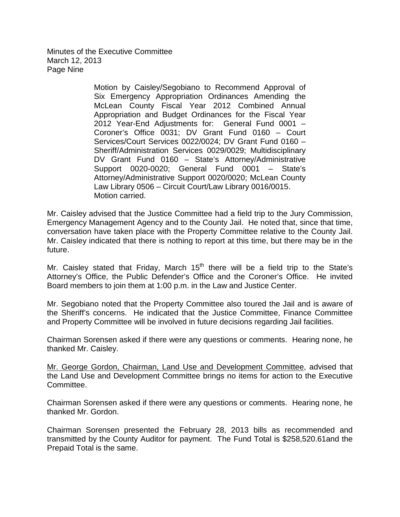Minutes of the Executive Committee March 12, 2013 Page Nine

> Motion by Caisley/Segobiano to Recommend Approval of Six Emergency Appropriation Ordinances Amending the McLean County Fiscal Year 2012 Combined Annual Appropriation and Budget Ordinances for the Fiscal Year 2012 Year-End Adjustments for: General Fund 0001 – Coroner's Office 0031; DV Grant Fund 0160 – Court Services/Court Services 0022/0024; DV Grant Fund 0160 – Sheriff/Administration Services 0029/0029; Multidisciplinary DV Grant Fund 0160 – State's Attorney/Administrative Support 0020-0020; General Fund 0001 – State's Attorney/Administrative Support 0020/0020; McLean County Law Library 0506 – Circuit Court/Law Library 0016/0015. Motion carried.

Mr. Caisley advised that the Justice Committee had a field trip to the Jury Commission, Emergency Management Agency and to the County Jail. He noted that, since that time, conversation have taken place with the Property Committee relative to the County Jail. Mr. Caisley indicated that there is nothing to report at this time, but there may be in the future.

Mr. Caisley stated that Friday, March  $15<sup>th</sup>$  there will be a field trip to the State's Attorney's Office, the Public Defender's Office and the Coroner's Office. He invited Board members to join them at 1:00 p.m. in the Law and Justice Center.

Mr. Segobiano noted that the Property Committee also toured the Jail and is aware of the Sheriff's concerns. He indicated that the Justice Committee, Finance Committee and Property Committee will be involved in future decisions regarding Jail facilities.

Chairman Sorensen asked if there were any questions or comments. Hearing none, he thanked Mr. Caisley.

Mr. George Gordon, Chairman, Land Use and Development Committee, advised that the Land Use and Development Committee brings no items for action to the Executive Committee.

Chairman Sorensen asked if there were any questions or comments. Hearing none, he thanked Mr. Gordon.

Chairman Sorensen presented the February 28, 2013 bills as recommended and transmitted by the County Auditor for payment. The Fund Total is \$258,520.61and the Prepaid Total is the same.